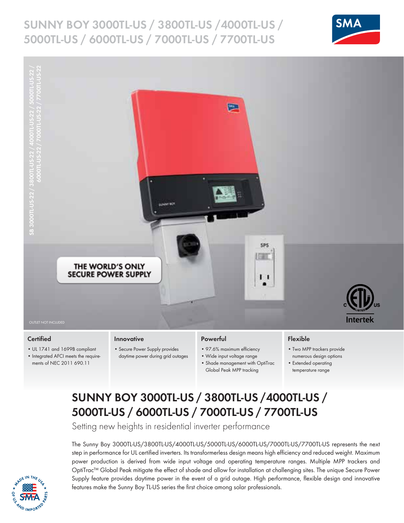## **Sunny Boy 3000tl-us / 3800tl-us /4000tl-us / 5000tl-us / 6000TL-US / 7000tl-us / 7700TL-US**





### **Certified**

• UL 1741 and 1699B compliant • Integrated AFCI meets the requirements of NEC 2011 690.11

### **Innovative**

• Secure Power Supply provides daytime power during grid outages

### **Powerful**

- 97.6% maximum efficiency
- Wide input voltage range
- Shade management with OptiTrac Global Peak MPP tracking

### **Flexible**

- Two MPP trackers provide numerous design options
- Extended operating temperature range

## **SUNNY BOY 3000TL-US / 3800TL-US /4000TL-US / 5000Tl-us / 6000TL-US / 7000Tl-us / 7700TL-US**

Setting new heights in residential inverter performance

The Sunny Boy 3000TL-US/3800TL-US/4000TL-US/5000TL-US/6000TL-US/7000TL-US/7700TL-US represents the next step in performance for UL certified inverters. Its transformerless design means high efficiency and reduced weight. Maximum power production is derived from wide input voltage and operating temperature ranges. Multiple MPP trackers and OptiTrac™ Global Peak mitigate the effect of shade and allow for installation at challenging sites. The unique Secure Power Supply feature provides daytime power in the event of a grid outage. High performance, flexible design and innovative features make the Sunny Boy TL-US series the first choice among solar professionals.

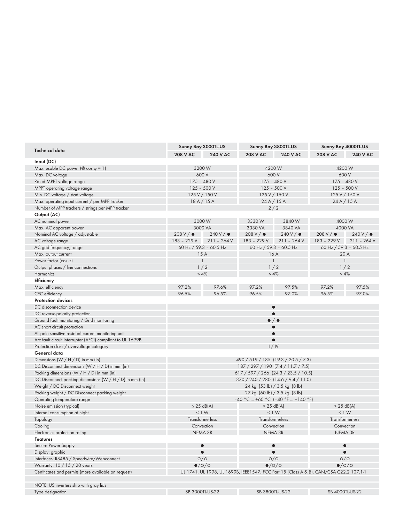| <b>Technical data</b>                                      | Sunny Boy 3000TL-US                  |                                 | Sunny Boy 3800TL-US                                                                    |                               | Sunny Boy 4000TL-US |                                |  |  |
|------------------------------------------------------------|--------------------------------------|---------------------------------|----------------------------------------------------------------------------------------|-------------------------------|---------------------|--------------------------------|--|--|
|                                                            | <b>208 V AC</b>                      | <b>240 V AC</b>                 | <b>208 V AC</b>                                                                        | <b>240 V AC</b>               | <b>208 V AC</b>     | <b>240 V AC</b>                |  |  |
| Input (DC)                                                 |                                      |                                 |                                                                                        |                               |                     |                                |  |  |
| Max. usable DC power (@ cos $\varphi = 1$ )                |                                      | 3200 W                          |                                                                                        | 4200 W                        |                     | 4200 W                         |  |  |
| Max. DC voltage                                            |                                      | 600 V                           |                                                                                        | 600 V                         |                     | 600 V                          |  |  |
| Rated MPPT voltage range                                   |                                      | 175 - 480 V                     | $175 - 480V$                                                                           |                               | $175 - 480V$        |                                |  |  |
| MPPT operating voltage range                               |                                      | $125 - 500V$                    | $125 - 500V$                                                                           |                               | $125 - 500V$        |                                |  |  |
| Min. DC voltage / start voltage                            |                                      | 125 V / 150 V                   |                                                                                        | 125 V / 150 V                 |                     | 125 V / 150 V                  |  |  |
| Max. operating input current / per MPP tracker             |                                      | 18A/15A<br>24A/15A              |                                                                                        |                               | 24A/15A             |                                |  |  |
| Number of MPP trackers / strings per MPP tracker           | 2/2                                  |                                 |                                                                                        |                               |                     |                                |  |  |
| Output (AC)                                                |                                      |                                 |                                                                                        |                               |                     |                                |  |  |
| AC nominal power                                           | 3000W                                |                                 | 3330W<br>3840W                                                                         |                               | 4000 W              |                                |  |  |
| Max. AC apparent power                                     |                                      | 3000 VA                         |                                                                                        | 3840 VA                       |                     | 4000 VA                        |  |  |
| Nominal AC voltage / adjustable                            | $208 V / \bullet$                    | 240V/e                          | 3330 VA<br>$208 V / \bullet$                                                           | 240V/e                        | $208 V / \bullet$   | $240 V / \bullet$              |  |  |
| AC voltage range                                           |                                      | 183 - 229 V 211 - 264 V         | 183 - 229 V                                                                            | $211 - 264V$                  | 183 - 229 V         | $211 - 264V$                   |  |  |
| AC grid frequency; range                                   |                                      | 60 Hz / 59.3 - 60.5 Hz          |                                                                                        |                               |                     |                                |  |  |
| Max. output current                                        |                                      | 15A                             |                                                                                        | 60 Hz / 59.3 - 60.5 Hz<br>16A |                     | 60 Hz / 59.3 - 60.5 Hz<br>20 A |  |  |
| Power factor $(cos \phi)$                                  |                                      | $\overline{\phantom{a}}$        |                                                                                        | $\mathbf{1}$                  |                     | $\mathbf{1}$                   |  |  |
|                                                            |                                      |                                 |                                                                                        |                               |                     |                                |  |  |
| Output phases / line connections<br><b>Harmonics</b>       |                                      | 1/2<br>$< 4\%$                  |                                                                                        | 1/2<br>$< 4\%$                |                     | 1/2<br>$< 4\%$                 |  |  |
|                                                            |                                      |                                 |                                                                                        |                               |                     |                                |  |  |
| Efficiency                                                 |                                      |                                 |                                                                                        |                               |                     |                                |  |  |
| Max. efficiency                                            | 97.2%                                | 97.6%                           | 97.2%                                                                                  | 97.5%                         | 97.2%               | 97.5%                          |  |  |
| CEC efficiency                                             | 96.5%                                | 96.5%                           | 96.5%                                                                                  | 97.0%                         | 96.5%               | 97.0%                          |  |  |
| <b>Protection devices</b>                                  |                                      |                                 |                                                                                        |                               |                     |                                |  |  |
| DC disconnection device                                    |                                      |                                 |                                                                                        | $\bullet$                     |                     |                                |  |  |
| DC reverse-polarity protection                             | $\bullet$                            |                                 |                                                                                        |                               |                     |                                |  |  |
| Ground fault monitoring / Grid monitoring                  | $\bullet$ / $\bullet$                |                                 |                                                                                        |                               |                     |                                |  |  |
| AC short circuit protection                                |                                      |                                 |                                                                                        |                               |                     |                                |  |  |
| All-pole sensitive residual current monitoring unit        |                                      |                                 |                                                                                        | $\bullet$                     |                     |                                |  |  |
| Arc fault circuit interrupter (AFCI) compliant to UL 1699B |                                      |                                 |                                                                                        | $\bullet$                     |                     |                                |  |  |
| Protection class / overvoltage category                    |                                      |                                 |                                                                                        | 1/1V                          |                     |                                |  |  |
| General data                                               |                                      |                                 |                                                                                        |                               |                     |                                |  |  |
| Dimensions (W / H / D) in mm (in)                          |                                      |                                 | 490 / 519 / 185 (19.3 / 20.5 / 7.3)                                                    |                               |                     |                                |  |  |
| DC Disconnect dimensions (W / H / D) in mm (in)            | 187 / 297 / 190 (7.4 / 11.7 / 7.5)   |                                 |                                                                                        |                               |                     |                                |  |  |
| Packing dimensions (W / H / D) in mm (in)                  | 617 / 597 / 266 (24.3 / 23.5 / 10.5) |                                 |                                                                                        |                               |                     |                                |  |  |
| DC Disconnect packing dimensions (W / H / D) in mm (in)    | 370 / 240 / 280 (14.6 / 9.4 / 11.0)  |                                 |                                                                                        |                               |                     |                                |  |  |
| Weight / DC Disconnect weight                              | 24 kg (53 lb) / 3.5 kg (8 lb)        |                                 |                                                                                        |                               |                     |                                |  |  |
| Packing weight / DC Disconnect packing weight              | 27 kg (60 lb) / 3.5 kg (8 lb)        |                                 |                                                                                        |                               |                     |                                |  |  |
| Operating temperature range                                | $-40$ °C  +60 °C (-40 °F  +140 °F)   |                                 |                                                                                        |                               |                     |                                |  |  |
| Noise emission (typical)                                   |                                      | $\leq$ 25 dB(A)<br>$<$ 25 dB(A) |                                                                                        |                               | $<$ 25 dB(A)        |                                |  |  |
| Internal consumption at night                              |                                      | < 1 W                           | < 1 W                                                                                  |                               | < 1 W               |                                |  |  |
| Topology                                                   |                                      | Transformerless                 |                                                                                        | Transformerless               |                     | Transformerless                |  |  |
| Cooling                                                    |                                      | Convection                      |                                                                                        | Convection                    |                     | Convection                     |  |  |
| Electronics protection rating                              |                                      | NEMA 3R                         |                                                                                        | NEMA 3R                       |                     | NEMA 3R                        |  |  |
| <b>Features</b>                                            |                                      |                                 |                                                                                        |                               |                     |                                |  |  |
| Secure Power Supply                                        |                                      | $\bullet$                       |                                                                                        |                               |                     | $\bullet$                      |  |  |
| Display: graphic                                           |                                      | $\bullet$                       |                                                                                        | $\bullet$                     |                     | $\bullet$                      |  |  |
| Interfaces: RS485 / Speedwire/Webconnect                   |                                      |                                 |                                                                                        | O/O                           |                     | O/O                            |  |  |
| Warranty: 10 / 15 / 20 years                               |                                      | O/O<br>$\bullet$ /0/0           |                                                                                        | $\bullet$ /0/0                |                     | $\bullet$ /0/0                 |  |  |
| Certificates and permits (more available on request)       |                                      |                                 | UL 1741, UL 1998, UL 1699B, IEEE1547, FCC Part 15 (Class A & B), CAN/CSA C22.2 107.1-1 |                               |                     |                                |  |  |
|                                                            |                                      |                                 |                                                                                        |                               |                     |                                |  |  |
|                                                            |                                      |                                 |                                                                                        |                               |                     |                                |  |  |
| NOTE: US inverters ship with gray lids                     |                                      |                                 |                                                                                        |                               |                     |                                |  |  |
| Type designation                                           |                                      | SB 3000TL-US-22                 |                                                                                        | SB 3800TL-US-22               |                     | SB 4000TL-US-22                |  |  |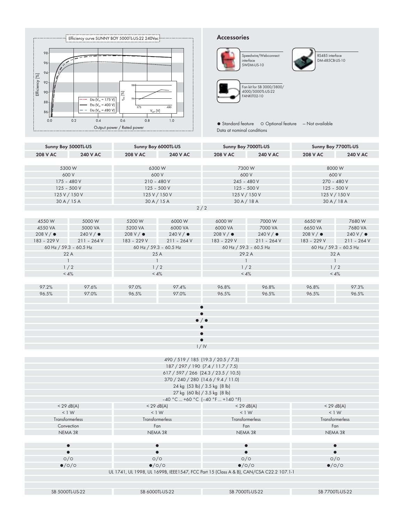

### **Accessories**



● Standard feature 
○ Optional feature 
— Not available



RS485 interface DM-485CB-US-10

|                                            |                                           | Output power / Kated power                 |                 | Data at nominal conditions                                                             |                   |                             |                 |  |
|--------------------------------------------|-------------------------------------------|--------------------------------------------|-----------------|----------------------------------------------------------------------------------------|-------------------|-----------------------------|-----------------|--|
| Sunny Boy 6000TL-US<br>Sunny Boy 5000TL-US |                                           | Sunny Boy 7000TL-US                        |                 | Sunny Boy 7700TL-US                                                                    |                   |                             |                 |  |
| <b>208 V AC</b>                            | <b>240 V AC</b>                           | <b>208 V AC</b>                            | <b>240 V AC</b> | <b>208 V AC</b>                                                                        | <b>240 V AC</b>   | <b>208 V AC</b>             | <b>240 V AC</b> |  |
|                                            |                                           |                                            |                 |                                                                                        |                   |                             |                 |  |
| 5300W                                      |                                           | 6300W                                      |                 | 7300 W                                                                                 |                   | 8000W                       |                 |  |
| 600 V                                      |                                           | 600 V                                      |                 | 600 V                                                                                  |                   | 600 V                       |                 |  |
| 175 - 480 V                                |                                           | $210 - 480V$                               |                 | $245 - 480V$<br>$125 - 500V$                                                           |                   | 270 - 480 V<br>$125 - 500V$ |                 |  |
| $125 - 500V$<br>125 V / 150 V              |                                           | $125 - 500V$<br>125 V / 150 V              |                 | 125 V / 150 V                                                                          |                   |                             | 125 V / 150 V   |  |
|                                            | 30A/15A                                   | 30A/15A                                    |                 | 30A/18A                                                                                |                   | 30A/18A                     |                 |  |
|                                            |                                           |                                            |                 | 2/2                                                                                    |                   |                             |                 |  |
|                                            |                                           |                                            |                 |                                                                                        |                   |                             |                 |  |
| 4550W                                      | 5000W                                     | 5200 W                                     | 6000W           | 6000W                                                                                  | 7000 W            | 6650W                       | 7680W           |  |
| 4550 VA                                    | 5000 VA                                   | 5200 VA                                    | 6000 VA         | 6000 VA                                                                                | 7000 VA           | 6650 VA                     | 7680 VA         |  |
| 208 V / $\bullet$                          | 240V/                                     | $208 V / \bullet$                          | 240V/e          | $208 V / \bullet$                                                                      | $240 V / \bullet$ | 208 V/ $\bullet$            | 240V/           |  |
| 183 - 229 V<br>a a                         | $211 - 264V$                              | 183 - 229 V                                | $211 - 264V$    | 183 - 229 V<br>a l                                                                     | $211 - 264V$      | 183 - 229 V                 | $211 - 264V$    |  |
|                                            | 60 Hz / 59.3 - 60.5 Hz                    | 60 Hz / 59.3 - 60.5 Hz                     |                 | 60 Hz / 59.3 - 60.5 Hz                                                                 |                   | 60 Hz / 59.3 - 60.5 Hz      |                 |  |
|                                            | 22 A<br>$\mathbf{1}$                      | 25 A                                       |                 | 29.2 A                                                                                 |                   | 32 A<br>$\mathbf{1}$        |                 |  |
|                                            | 1/2                                       | $\mathbf{1}$<br>$\mathbf{1}$<br>1/2<br>1/2 |                 |                                                                                        |                   | 1/2                         |                 |  |
|                                            | $< 4\%$                                   | < 4%                                       |                 | < 4%                                                                                   |                   | < 4%                        |                 |  |
|                                            |                                           |                                            |                 |                                                                                        |                   |                             |                 |  |
| 97.2%                                      | 97.6%                                     | 97.0%                                      | 97.4%           | 96.8%                                                                                  | 96.8%             | 96.8%                       | 97.3%           |  |
| 96.5%                                      | 97.0%                                     | 96.5%                                      | 97.0%           | 96.5%                                                                                  | 96.5%             | 96.5%                       | 96.5%           |  |
|                                            |                                           |                                            |                 |                                                                                        |                   |                             |                 |  |
|                                            |                                           |                                            |                 |                                                                                        |                   |                             |                 |  |
|                                            |                                           |                                            |                 | $\bullet$ / $\bullet$                                                                  |                   |                             |                 |  |
|                                            |                                           |                                            |                 |                                                                                        |                   |                             |                 |  |
|                                            |                                           |                                            |                 |                                                                                        |                   |                             |                 |  |
|                                            |                                           |                                            |                 | $\bullet$                                                                              |                   |                             |                 |  |
|                                            |                                           |                                            |                 | 1/N                                                                                    |                   |                             |                 |  |
|                                            |                                           |                                            |                 |                                                                                        |                   |                             |                 |  |
|                                            |                                           |                                            |                 | 490 / 519 / 185 (19.3 / 20.5 / 7.3)                                                    |                   |                             |                 |  |
|                                            |                                           |                                            |                 | 187 / 297 / 190 (7.4 / 11.7 / 7.5)                                                     |                   |                             |                 |  |
|                                            |                                           |                                            |                 | $617 / 597 / 266$ (24.3 / 23.5 / 10.5)                                                 |                   |                             |                 |  |
|                                            |                                           |                                            |                 | 370 / 240 / 280 (14.6 / 9.4 / 11.0)<br>24 kg (53 lb) / 3.5 kg (8 lb)                   |                   |                             |                 |  |
|                                            |                                           |                                            |                 | 27 kg (60 lb) / 3.5 kg (8 lb)                                                          |                   |                             |                 |  |
|                                            |                                           |                                            |                 | $-40$ °C  +60 °C (-40 °F  +140 °F)                                                     |                   |                             |                 |  |
|                                            | $<$ 29 dB(A)                              | $<$ 29 dB(A)                               |                 | $<$ 29 dB(A)                                                                           |                   |                             | $<$ 29 dB(A)    |  |
|                                            | < 1 W                                     | < 1 W                                      |                 | < 1 W                                                                                  |                   | < 1 W                       |                 |  |
|                                            | <b>Transformerless</b><br>Transformerless |                                            |                 | Transformerless                                                                        |                   | Transformerless             |                 |  |
| Convection                                 |                                           |                                            | Fan             |                                                                                        | Fan               |                             | Fan             |  |
|                                            | NEMA 3R                                   | NEMA 3R                                    |                 | NEMA 3R                                                                                |                   | NEMA 3R                     |                 |  |
|                                            |                                           |                                            |                 |                                                                                        |                   |                             |                 |  |
| $\bullet$                                  |                                           | $\bullet$                                  |                 | $\bullet$                                                                              |                   | $\bullet$<br>$\bullet$      |                 |  |
| $\bullet$<br>O/O                           |                                           | O/O                                        |                 | O/O                                                                                    |                   | O/O                         |                 |  |
| $\bullet$ /0/0                             |                                           | $\bullet$ /0/0                             |                 | $\bullet$ /0/0                                                                         |                   | $\bullet$ /0/0              |                 |  |
|                                            |                                           |                                            |                 | UL 1741, UL 1998, UL 1699B, IEEE1547, FCC Part 15 (Class A & B), CAN/CSA C22.2 107.1-1 |                   |                             |                 |  |
|                                            |                                           |                                            |                 |                                                                                        |                   |                             |                 |  |
|                                            |                                           |                                            |                 |                                                                                        |                   |                             |                 |  |
| SB 5000TL-US-22                            |                                           | SB 6000TL-US-22                            |                 | SB 7000TL-US-22                                                                        |                   | SB 7700TL-US-22             |                 |  |